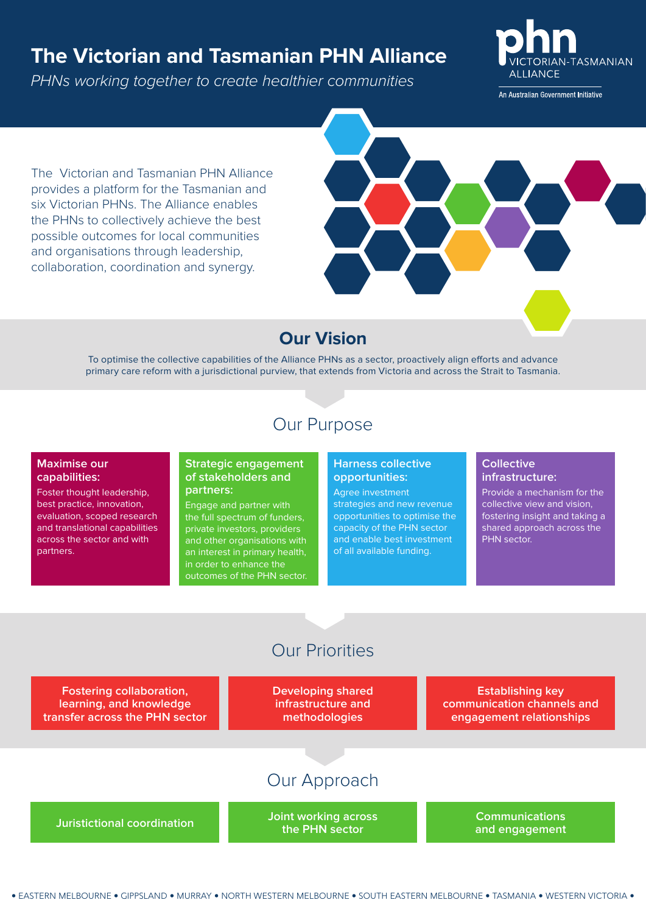# **The Victorian and Tasmanian PHN Alliance**

*PHNs working together to create healthier communities* 



An Australian Government Initiative

The Victorian and Tasmanian PHN Alliance provides a platform for the Tasmanian and six Victorian PHNs. The Alliance enables the PHNs to collectively achieve the best possible outcomes for local communities and organisations through leadership, collaboration, coordination and synergy.



### **Our Vision**

To optimise the collective capabilities of the Alliance PHNs as a sector, proactively align efforts and advance primary care reform with a jurisdictional purview, that extends from Victoria and across the Strait to Tasmania.

# Our Purpose

#### **Maximise our capabilities:**

Foster thought leadership, best practice, innovation, evaluation, scoped research and translational capabilities across the sector and with partners.

#### **Strategic engagement of stakeholders and partners:**

Engage and partner with the full spectrum of funders, and other organisations with an interest in primary health, in order to enhance the outcomes of the PHN sector.

#### **Harness collective opportunities:**

Agree investment strategies and new revenue opportunities to optimise the capacity of the PHN sector and enable best investment of all available funding.

#### **Collective infrastructure:**

Provide a mechanism for the collective view and vision, fostering insight and taking a shared approach across the PHN sector.

# Our Priorities

**Fostering collaboration, learning, and knowledge transfer across the PHN sector**  **Developing shared infrastructure and methodologies** 

**Establishing key communication channels and engagement relationships** 

# Our Approach

**Juristictional coordination Joint working across the PHN sector** 

**Communications and engagement**